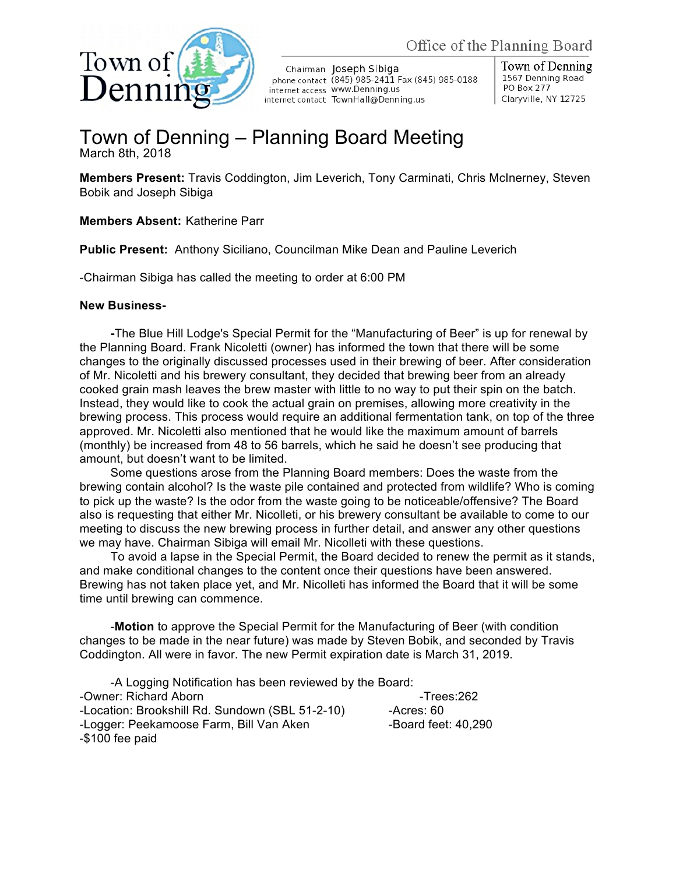

Chairman Joseph Sibiga phone contact (845) 985-2411 Fax (845) 985-0188 internet access WWW.Denning.us internet contact TownHall@Denning.us

Town of Denning 1567 Denning Road PO Box 277 Claryville, NY 12725

## Town of Denning – Planning Board Meeting March 8th, 2018

**Members Present:** Travis Coddington, Jim Leverich, Tony Carminati, Chris McInerney, Steven Bobik and Joseph Sibiga

## **Members Absent:** Katherine Parr

**Public Present:** Anthony Siciliano, Councilman Mike Dean and Pauline Leverich

-Chairman Sibiga has called the meeting to order at 6:00 PM

## **New Business-**

**-**The Blue Hill Lodge's Special Permit for the "Manufacturing of Beer" is up for renewal by the Planning Board. Frank Nicoletti (owner) has informed the town that there will be some changes to the originally discussed processes used in their brewing of beer. After consideration of Mr. Nicoletti and his brewery consultant, they decided that brewing beer from an already cooked grain mash leaves the brew master with little to no way to put their spin on the batch. Instead, they would like to cook the actual grain on premises, allowing more creativity in the brewing process. This process would require an additional fermentation tank, on top of the three approved. Mr. Nicoletti also mentioned that he would like the maximum amount of barrels (monthly) be increased from 48 to 56 barrels, which he said he doesn't see producing that amount, but doesn't want to be limited.

Some questions arose from the Planning Board members: Does the waste from the brewing contain alcohol? Is the waste pile contained and protected from wildlife? Who is coming to pick up the waste? Is the odor from the waste going to be noticeable/offensive? The Board also is requesting that either Mr. Nicolleti, or his brewery consultant be available to come to our meeting to discuss the new brewing process in further detail, and answer any other questions we may have. Chairman Sibiga will email Mr. Nicolleti with these questions.

To avoid a lapse in the Special Permit, the Board decided to renew the permit as it stands, and make conditional changes to the content once their questions have been answered. Brewing has not taken place yet, and Mr. Nicolleti has informed the Board that it will be some time until brewing can commence.

-**Motion** to approve the Special Permit for the Manufacturing of Beer (with condition changes to be made in the near future) was made by Steven Bobik, and seconded by Travis Coddington. All were in favor. The new Permit expiration date is March 31, 2019.

-A Logging Notification has been reviewed by the Board: -Owner: Richard Aborn - The State of the School and Trees:262 -Location: Brookshill Rd. Sundown (SBL 51-2-10) -- Acres: 60 -Logger: Peekamoose Farm, Bill Van Aken -Board feet: 40,290 -\$100 fee paid